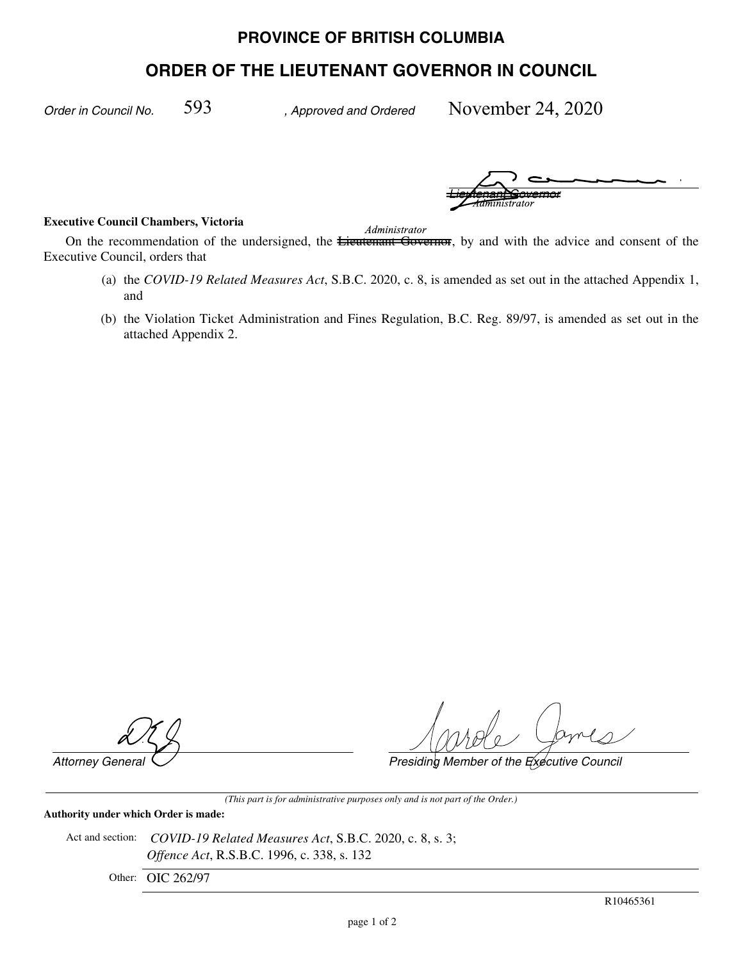## **PROVINCE OF BRITISH COLUMBIA**

# **ORDER OF THE LIEUTENANT GOVERNOR IN COUNCIL**

*Order in Council No. , Approved and Ordered*

November 24, 2020

*Lieutenant Governor Administrator Administrator*

#### **Executive Council Chambers, Victoria**

*Administrator* 

On the recommendation of the undersigned, the **Lieutenant Governor**, by and with the advice and consent of the Executive Council, orders that

- (a) the *COVID-19 Related Measures Act*, S.B.C. 2020, c. 8, is amended as set out in the attached Appendix 1, and
- (b) the Violation Ticket Administration and Fines Regulation, B.C. Reg. 89/97, is amended as set out in the attached Appendix 2.

*Attorney General Presiding Member of the Executive Council*

*(This part is for administrative purposes only and is not part of the Order.)*

### **Authority under which Order is made:**

Act and section: *COVID-19 Related Measures Act*, S.B.C. 2020, c. 8, s. 3; *Offence Act*, R.S.B.C. 1996, c. 338, s. 132

Other: OIC 262/97